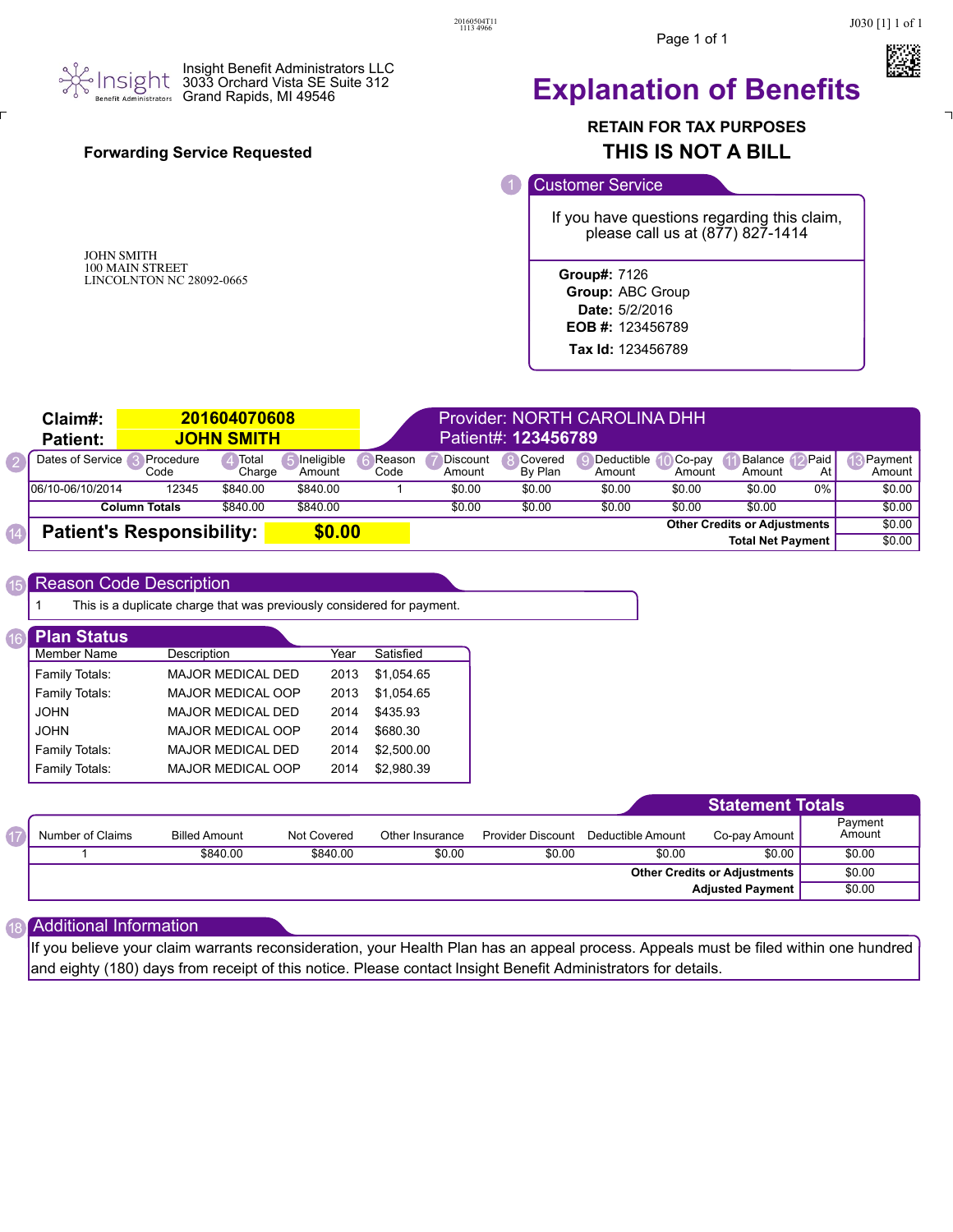



### Insight Benefit Administrators LLC 3033 Orchard Vista SE Suite 312 Grand Rapids, MI 49546

## **Forwarding Service Requested**

JOHN SMITH 100 MAIN STREET LINCOLNTON NC 28092-0665

## **Explanation of Benefits**

## **RETAIN FOR TAX PURPOSES THIS IS NOT A BILL**

### Customer Service

If you have questions regarding this claim, please call us at (877) 827-1414

**Group#:** 7126

- **Group:** ABC Group **Date:** 5/2/2016
- **EOB #:** 123456789

**Tax Id:** 123456789

| Claim#:<br><b>Patient:</b>                 | 201604070608<br><b>JOHN SMITH</b> |                 |                      |                                     | Provider: NORTH CAROLINA DHH<br>Patient#: 123456789 |                    |                      |                  |                          |            |                   |
|--------------------------------------------|-----------------------------------|-----------------|----------------------|-------------------------------------|-----------------------------------------------------|--------------------|----------------------|------------------|--------------------------|------------|-------------------|
| Dates of Service                           | ∎Procedure<br>Code                | Total<br>Charge | Ineligible<br>Amount | Reason<br>Code                      | Discount<br>Amount                                  | Covered<br>By Plan | Deductible<br>Amount | Co-pay<br>Amount | Balance<br>Amount        | Paid<br>At | Pavment<br>Amount |
| 106/10-06/10/2014                          | 12345                             | \$840.00        | \$840.00             |                                     | \$0.00                                              | \$0.00             | \$0.00               | \$0.00           | \$0.00                   | 0%         | \$0.00            |
|                                            | <b>Column Totals</b>              | \$840.00        | \$840.00             |                                     | \$0.00                                              | \$0.00             | \$0.00               | \$0.00           | \$0.00                   |            | \$0.00            |
| \$0.00<br><b>Patient's Responsibility:</b> |                                   |                 |                      | <b>Other Credits or Adiustments</b> |                                                     |                    |                      |                  |                          | \$0.00     |                   |
|                                            |                                   |                 |                      |                                     |                                                     |                    |                      |                  | <b>Total Net Payment</b> |            | \$0.00            |

#### Reason Code Description 15

1 This is a duplicate charge that was previously considered for payment.

| <b>Plan Status</b> |                          |      |            |
|--------------------|--------------------------|------|------------|
| Member Name        | Description              | Year | Satisfied  |
| Family Totals:     | <b>MAJOR MEDICAL DED</b> | 2013 | \$1.054.65 |
| Family Totals:     | <b>MAJOR MEDICAL OOP</b> | 2013 | \$1.054.65 |
| <b>JOHN</b>        | <b>MAJOR MEDICAL DED</b> | 2014 | \$435.93   |
| <b>JOHN</b>        | <b>MAJOR MEDICAL OOP</b> | 2014 | \$680.30   |
| Family Totals:     | <b>MAJOR MEDICAL DED</b> | 2014 | \$2,500.00 |
| Family Totals:     | <b>MAJOR MEDICAL OOP</b> | 2014 | \$2.980.39 |

|                  |                         |             |                 |                          |                   | <b>Statement Totals</b> |                   |
|------------------|-------------------------|-------------|-----------------|--------------------------|-------------------|-------------------------|-------------------|
| Number of Claims | <b>Billed Amount</b>    | Not Covered | Other Insurance | <b>Provider Discount</b> | Deductible Amount | Co-pay Amount           | Payment<br>Amount |
|                  | \$840.00                | \$840.00    | \$0.00          | \$0.00                   | \$0.00            | \$0.00                  | \$0.00            |
|                  |                         |             |                 | \$0.00                   |                   |                         |                   |
|                  | <b>Adjusted Payment</b> |             |                 |                          |                   | \$0.00                  |                   |

#### Additional Information 18

17

If you believe your claim warrants reconsideration, your Health Plan has an appeal process. Appeals must be filed within one hundred and eighty (180) days from receipt of this notice. Please contact Insight Benefit Administrators for details.